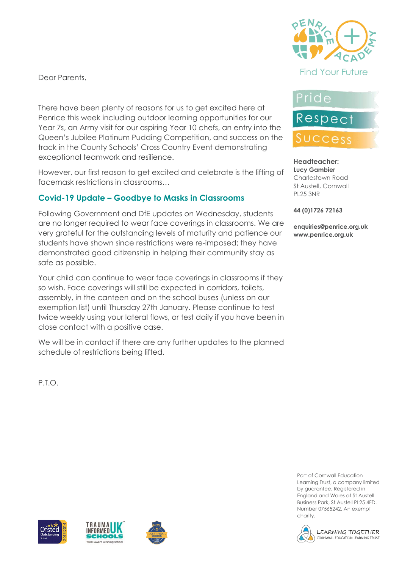Dear Parents,

There have been plenty of reasons for us to get excited here at Penrice this week including outdoor learning opportunities for our Year 7s, an Army visit for our aspiring Year 10 chefs, an entry into the Queen's Jubilee Platinum Pudding Competition, and success on the track in the County Schools' Cross Country Event demonstrating exceptional teamwork and resilience.

However, our first reason to get excited and celebrate is the lifting of facemask restrictions in classrooms…

## **Covid-19 Update – Goodbye to Masks in Classrooms**

Following Government and DfE updates on Wednesday, students are no longer required to wear face coverings in classrooms. We are very grateful for the outstanding levels of maturity and patience our students have shown since restrictions were re-imposed; they have demonstrated good citizenship in helping their community stay as safe as possible.

Your child can continue to wear face coverings in classrooms if they so wish. Face coverings will still be expected in corridors, toilets, assembly, in the canteen and on the school buses (unless on our exemption list) until Thursday 27th January. Please continue to test twice weekly using your lateral flows, or test daily if you have been in close contact with a positive case.

We will be in contact if there are any further updates to the planned schedule of restrictions being lifted.

P.T.O.



# Pride



#### **Headteacher: Lucy Gambier** Charlestown Road St Austell, Cornwall PL25 3NR

**44 (0)1726 72163**

**enquiries@penrice.org.uk www.penrice.org.uk**



Part of Cornwall Education Learning Trust, a company limited by guarantee. Registered in England and Wales at St Austell Business Park, St Austell PL25 4FD. Number 07565242. An exempt charity.







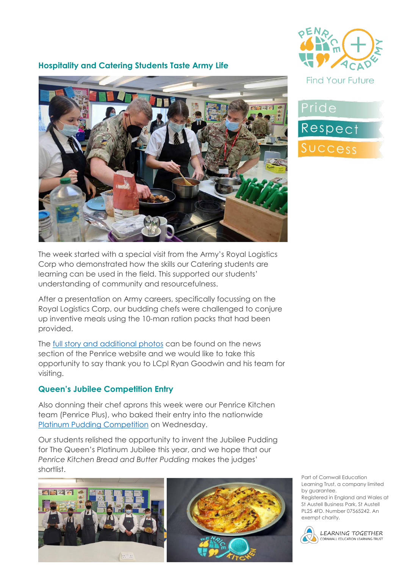

#### **Hospitality and Catering Students Taste Army Life**



The week started with a special visit from the Army's Royal Logistics Corp who demonstrated how the skills our Catering students are learning can be used in the field. This supported our students' understanding of community and resourcefulness.

After a presentation on Army careers, specifically focussing on the Royal Logistics Corp, our budding chefs were challenged to conjure up inventive meals using the 10-man ration packs that had been provided.

The [full story and additional photos](https://www.penriceacademy.org/year10-catering-taste-army-life/) can be found on the news section of the Penrice website and we would like to take this opportunity to say thank you to LCpl Ryan Goodwin and his team for visiting.

#### **Queen's Jubilee Competition Entry**

Also donning their chef aprons this week were our Penrice Kitchen team (Penrice Plus), who baked their entry into the nationwide [Platinum Pudding Competition](https://www.fortnumandmason.com/platinum-pudding) on Wednesday.

Our students relished the opportunity to invent the Jubilee Pudding for The Queen's Platinum Jubilee this year, and we hope that our *Penrice Kitchen Bread and Butter Pudding* makes the judges' shortlist.





Part of Cornwall Education Learning Trust, a company limited by guarantee.

Registered in England and Wales at St Austell Business Park, St Austell PL25 4FD. Number 07565242. An exempt charity.



LEARNING TOGETHER CORNWALL EDUCATION LEARNING TRUST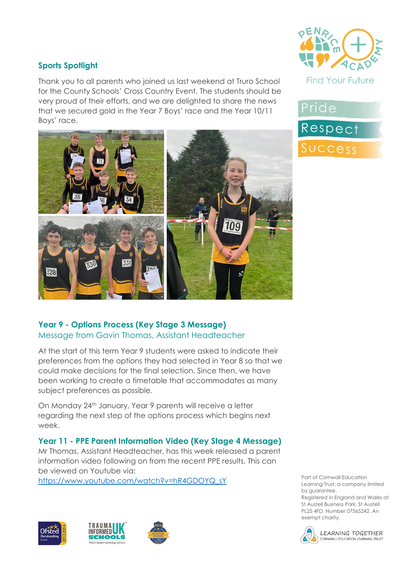### **Sports Spotlight**

Thank you to all parents who joined us last weekend at Truro School for the County Schools' Cross Country Event. The students should be very proud of their efforts, and we are delighted to share the news that we secured gold in the Year 7 Boys' race and the Year 10/11 Boys' race.



#### **Year 9 - Options Process (Key Stage 3 Message)** Message from Gavin Thomas, Assistant Headteacher

At the start of this term Year 9 students were asked to indicate their preferences from the options they had selected in Year 8 so that we could make decisions for the final selection. Since then, we have been working to create a timetable that accommodates as many subject preferences as possible.

On Monday 24th January, Year 9 parents will receive a letter regarding the next step of the options process which begins next week.

#### **Year 11 - PPE Parent Information Video (Key Stage 4 Message)**

Mr Thomas, Assistant Headteacher, has this week released a parent information video following on from the recent PPE results. This can be viewed on Youtube via:

[https://www.youtube.com/watch?v=hR4GDOYQ\\_sY](https://www.youtube.com/watch?v=hR4GDOYQ_sY)









# Pride **Respect** Success

Part of Cornwall Education Learning Trust, a company limited by guarantee. Registered in England and Wales at St Austell Business Park, St Austell PL25 4FD. Number 07565242. An



exempt charity.

LEARNING TOGETHER CORNWALL EDUCATION LEARNING TRUST